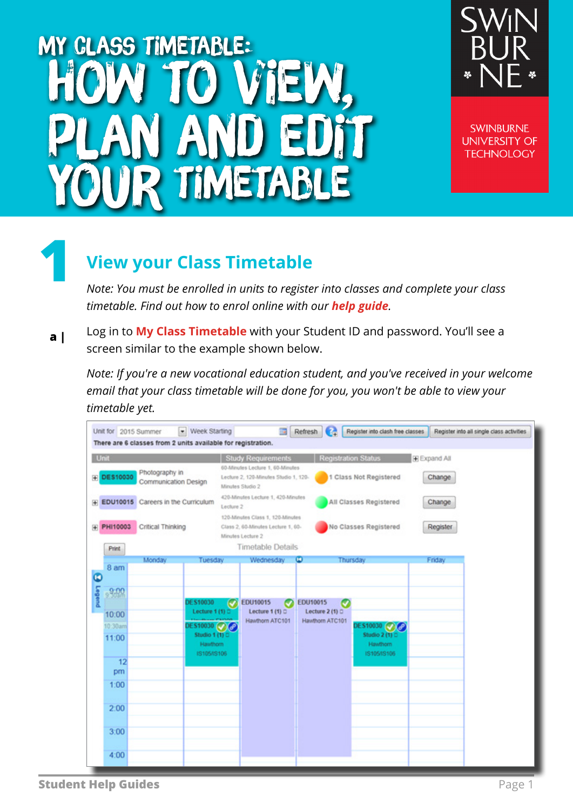# my class timetable: How to view, plan and edit TIMETABLE



**SWINBURNE UNIVERSITY OF TECHNOLOGY** 

## **View your Class Timetable**

**1**

*Note: You must be enrolled in units to register into classes and complete your class timetable. Find out how to enrol online with our [help guide](https://www.swinburne.edu.au/media/swinburneeduau/current-students/docs/pdf/Help_Guide_enrolling_into_units_V2.2.pdf).*

Log in to **[My Class Timetable](https://s1.swin.edu.au/eStudent/login.aspx?ReturnUrl=%2feStudent%2fSM%2fStudentTtable10.aspx%3fr%3d%2523SU.EST.STUDENT%26f%3d%2523SU.EST.TIMETBL.WEB&r=%23SU.EST.STUDENT&f=%23SU.EST.TIMETBL.WEB)** with your Student ID and password. You'll see a screen similar to the example shown below. **a |**

*Note: If you're a new vocational education student, and you've received in your welcome email that your class timetable will be done for you, you won't be able to view your timetable yet.* 

| Unit for 2015 Summer    | There are 6 classes from 2 units available for registration. | - Week Starting                          |                          | <b>1981</b>                                                                                                             | Refresh | $\bullet$                                | Register into clash free classes          |              | Register into all single class activities |
|-------------------------|--------------------------------------------------------------|------------------------------------------|--------------------------|-------------------------------------------------------------------------------------------------------------------------|---------|------------------------------------------|-------------------------------------------|--------------|-------------------------------------------|
| Unit                    |                                                              |                                          |                          | Study Requirements                                                                                                      |         | Registration Status                      |                                           | E Expand All |                                           |
| <b>DES10030</b><br>闲    | Photography in<br>Communication Design                       |                                          |                          | 60-Minutes Lecture 1, 60-Minutes<br>Lecture 2, 120-Minutes Studio 1, 120-<br>Minutes Studio 2                           |         |                                          | 1 Class Not Registered                    | Change       |                                           |
|                         | F EDU10015 Careers in the Curriculum                         |                                          | Lecture 2                | 420-Minutes Lecture 1, 420-Minutes                                                                                      |         |                                          | All Classes Registered                    | Change       |                                           |
| PHI10003<br>田           | Critical Thinking                                            |                                          |                          | 120-Minutes Class 1, 120-Minutes<br>Class 2, 60-Minutes Lecture 1, 60-<br>Minutes Lecture 2<br><b>Timetable Details</b> |         |                                          | No Classes Registered                     | Register     |                                           |
| Print                   | Monday                                                       | Tuesday                                  |                          | Wednesday                                                                                                               | Ф       |                                          | Thursday                                  | Friday       |                                           |
| 8 am<br>$\bullet$       |                                                              |                                          |                          |                                                                                                                         |         |                                          |                                           |              |                                           |
| Legend<br>6.00<br>10:00 |                                                              | DE \$10030<br>Lecture 1 (1) $\square$    | $\overline{\phantom{a}}$ | EDU10015<br>U<br>Lecture 1 (1) 0                                                                                        |         | EDU10015<br>Ø<br>Lecture 2 (1) $\square$ |                                           |              |                                           |
| 10:30am                 |                                                              | DES10030 (V) (P)                         |                          | Hawthorn ATC101                                                                                                         |         | Hawthorn ATC101                          | DES10030 @ @                              |              |                                           |
| 11:00                   |                                                              | Studio 1 (1) 0<br>Hawthorn<br>1310513106 |                          |                                                                                                                         |         |                                          | Studio 2 (1) 0<br>Hawthorn<br>19105/19106 |              |                                           |
| 12<br>pm                |                                                              |                                          |                          |                                                                                                                         |         |                                          |                                           |              |                                           |
| 1:00                    |                                                              |                                          |                          |                                                                                                                         |         |                                          |                                           |              |                                           |
| 2:00                    |                                                              |                                          |                          |                                                                                                                         |         |                                          |                                           |              |                                           |
| 3:00                    |                                                              |                                          |                          |                                                                                                                         |         |                                          |                                           |              |                                           |
| 4:00                    |                                                              |                                          |                          |                                                                                                                         |         |                                          |                                           |              |                                           |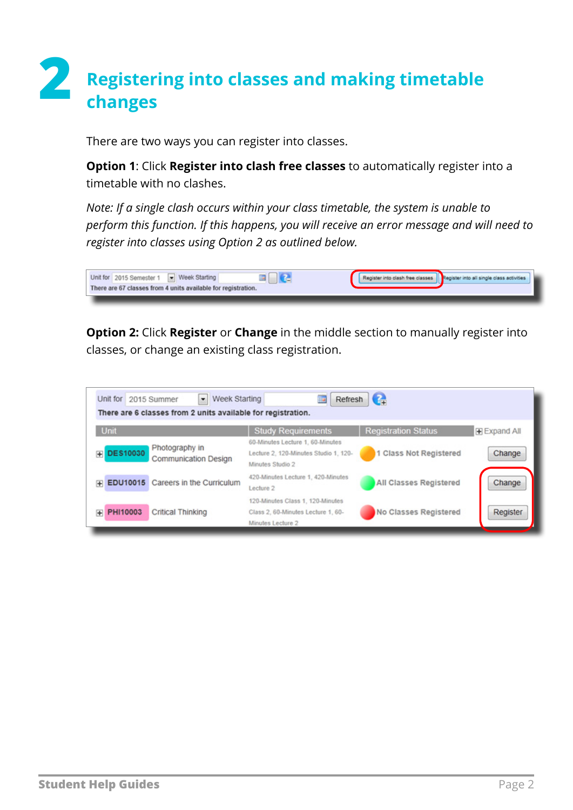# **2 Registering into classes and making timetable changes**

There are two ways you can register into classes.

**Option 1**: Click **Register into clash free classes** to automatically register into a timetable with no clashes.

*Note: If a single clash occurs within your class timetable, the system is unable to perform this function. If this happens, you will receive an error message and will need to register into classes using Option 2 as outlined below.*



**Option 2:** Click **Register** or **Change** in the middle section to manually register into classes, or change an existing class registration.

| Unit                 |                                        | <b>Study Requirements</b>                                                                     | <b>Registration Status</b> | <b>Expand All</b> |
|----------------------|----------------------------------------|-----------------------------------------------------------------------------------------------|----------------------------|-------------------|
| <b>DES10030</b><br>田 | Photography in<br>Communication Design | 60-Minutes Lecture 1, 60-Minutes<br>Lecture 2, 120-Minutes Studio 1, 120-<br>Minutes Studio 2 | 1 Class Not Registered     | Change            |
| EDU10015<br>匣        | Careers in the Curriculum              | 420-Minutes Lecture 1, 420-Minutes<br>Lecture 2                                               | All Classes Registered     | Change            |
| PHI10003<br>m        | Critical Thinking                      | 120-Minutes Class 1, 120-Minutes<br>Class 2, 60-Minutes Lecture 1, 60-<br>Minutes Lecture 2   | No Classes Registered      | Register          |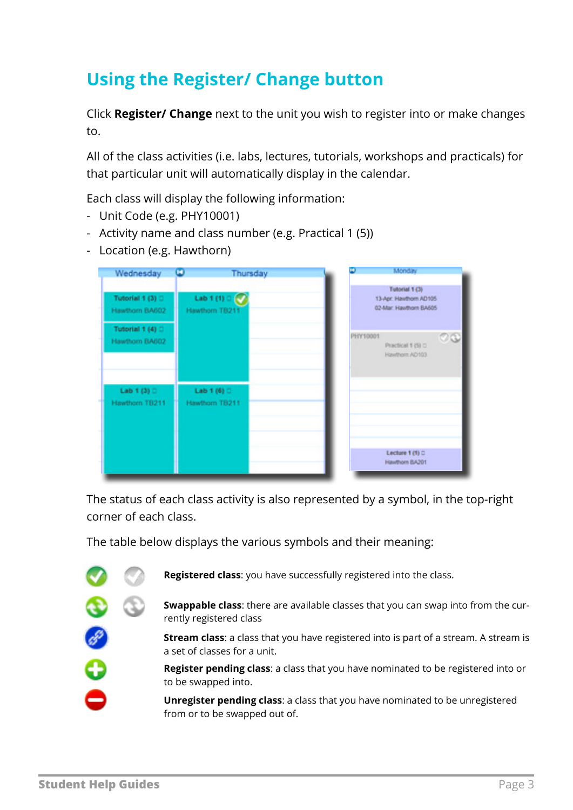## **Using the Register/ Change button**

Click **Register/ Change** next to the unit you wish to register into or make changes to.

All of the class activities (i.e. labs, lectures, tutorials, workshops and practicals) for that particular unit will automatically display in the calendar.

Each class will display the following information:

- Unit Code (e.g. PHY10001)
- Activity name and class number (e.g. Practical 1 (5))
- Location (e.g. Hawthorn)

| Wednesday                             | $\left( \blacksquare \right)$     | Thursday | œ.       | Monday                                                             |    |
|---------------------------------------|-----------------------------------|----------|----------|--------------------------------------------------------------------|----|
| Tutorial 1 (3) D<br>Hawthorn BA602    | Lab 1 (1) 0 (C)<br>Hawthorn TB211 |          |          | Tutorial 1 (3)<br>13-Apr. Hawthorn AD105<br>02-Mar: Hawthorn BA605 |    |
| Tutorial 1 (4) D<br>Hawthorn BA602    |                                   |          | PHY10001 | Practical 1 (5) D<br>Hawthorn AD103                                | 28 |
| Lab 1 (3) $\square$<br>Hawthorn TB211 | Lab 1 (6) D<br>Hawthorn TB211     |          |          |                                                                    |    |
|                                       |                                   |          |          |                                                                    |    |
|                                       |                                   |          |          | Lecture 1 (1) C<br>Hawthorn BA201                                  |    |

The status of each class activity is also represented by a symbol, in the top-right corner of each class.

The table below displays the various symbols and their meaning:



**Registered class**: you have successfully registered into the class.

**Swappable class**: there are available classes that you can swap into from the currently registered class

**Stream class**: a class that you have registered into is part of a stream. A stream is a set of classes for a unit.

**Register pending class**: a class that you have nominated to be registered into or to be swapped into.

**Unregister pending class**: a class that you have nominated to be unregistered from or to be swapped out of.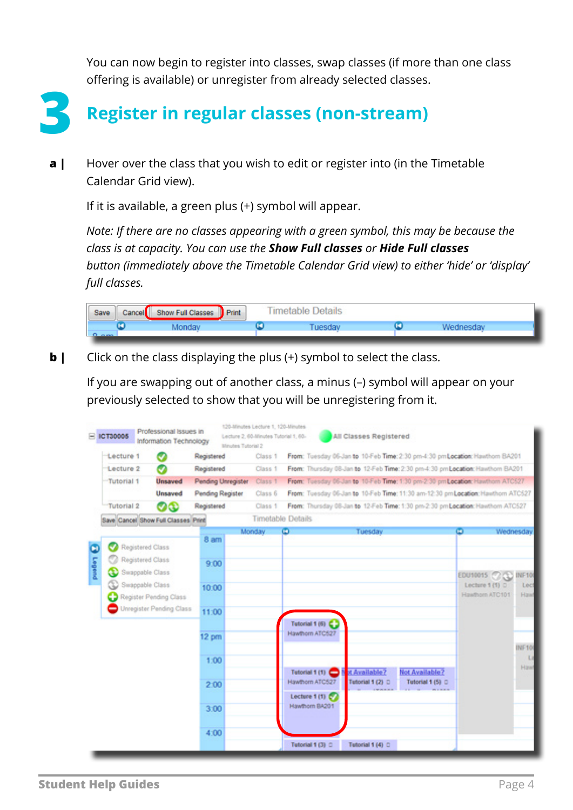You can now begin to register into classes, swap classes (if more than one class offering is available) or unregister from already selected classes.



**3 Register in regular classes (non-stream)**

Hover over the class that you wish to edit or register into (in the Timetable Calendar Grid view). **a |**

If it is available, a green plus (+) symbol will appear.

*Note: If there are no classes appearing with a green symbol, this may be because the class is at capacity. You can use the Show Full classes or Hide Full classes button (immediately above the Timetable Calendar Grid view) to either 'hide' or 'display' full classes.* 



Click on the class displaying the plus (+) symbol to select the class. **b |**

If you are swapping out of another class, a minus (–) symbol will appear on your previously selected to show that you will be unregistering from it.

|              | <b>ICT30005</b>                     |                                      | Professional Issues in<br>Information Technology   |                         | Minutes Tutorial 2 | 120-Minutes Lecture 1, 120-Minutes<br>Lecture 2, 60-Minutes Tutorial 1, 60- |   |                                                    | All Classes Registered            |                                                                                 |              |                                    |                             |
|--------------|-------------------------------------|--------------------------------------|----------------------------------------------------|-------------------------|--------------------|-----------------------------------------------------------------------------|---|----------------------------------------------------|-----------------------------------|---------------------------------------------------------------------------------|--------------|------------------------------------|-----------------------------|
|              | -Lecture 1                          |                                      |                                                    | Registered              |                    | Class 1                                                                     |   |                                                    |                                   | From: Tuesday 06-Jan to 10-Feb Time: 2:30 pm-4:30 pmLocation: Hawthorn BA201    |              |                                    |                             |
|              | Lecture 2                           |                                      | o                                                  | Registered              |                    | Class 1                                                                     |   |                                                    |                                   | From: Thursday 08-Jan to 12-Feb Time: 2:30 pm-4:30 pm Location: Hawthorn BA201  |              |                                    |                             |
|              | Tutorial 1                          |                                      | <b>Unsaved</b>                                     | Pending Unregister      |                    | Class 1                                                                     |   |                                                    |                                   | From: Tuesday 06-Jan to 10-Feb Time: 1:30 pm-2:30 pm Location: Hawthorn ATC527  |              |                                    |                             |
|              |                                     |                                      | Unsaved                                            | <b>Pending Register</b> |                    | Class 6                                                                     |   |                                                    |                                   | From: Tuesday 06-Jan to 10-Feb Time: 11:30 am-12:30 pmLocation: Hawthorn ATC527 |              |                                    |                             |
|              | <b>Tutorial 2</b>                   |                                      | ೲ                                                  | Registered              |                    | Class 1                                                                     |   |                                                    |                                   | From: Thursday 08-Jan to 12-Feb Time: 1:30 pm-2:30 pm Location: Hawthorn ATC527 |              |                                    |                             |
|              | Save Cancel Show Full Classes Print |                                      |                                                    |                         |                    | Timetable Details                                                           |   |                                                    |                                   |                                                                                 |              |                                    |                             |
| ο<br>punders |                                     | Registered Class<br>Registered Class |                                                    | 8 am<br>9:00            |                    | Monday                                                                      | ۵ |                                                    | Tuesday                           |                                                                                 | $\bullet$    |                                    | Wednesday                   |
|              |                                     | Swappable Class<br>Swappable Class   | Register Pending Class<br>Unregister Pending Class | 10:00<br>11:00          |                    |                                                                             |   |                                                    |                                   |                                                                                 | EDU10015 (2) | Lecture 1 (1) D<br>Hawthorn ATC101 | <b>INF10</b><br>Lect<br>Haw |
|              |                                     |                                      |                                                    | $12 \text{ pm}$<br>1:00 |                    |                                                                             |   | Tutorial 1 (6)<br>Hawthorn ATC527                  |                                   |                                                                                 |              |                                    | <b>INF10</b><br>Lz          |
|              |                                     |                                      |                                                    | 2:00                    |                    |                                                                             |   | Tutorial 1 (1)<br>Hawthorn ATC527<br>Lecture 1 (1) | ot Available?<br>Tutorial 1 (2) D | <b>Not Available?</b><br>Tutorial 1 (5) O                                       |              |                                    | Hawt                        |
|              |                                     |                                      |                                                    | 3:00<br>4:00            |                    |                                                                             |   | Hawthorn BA201                                     |                                   |                                                                                 |              |                                    |                             |
|              |                                     |                                      |                                                    |                         |                    |                                                                             |   | Tutorial 1 (3) C                                   | Tutorial 1 (4) C                  |                                                                                 |              |                                    |                             |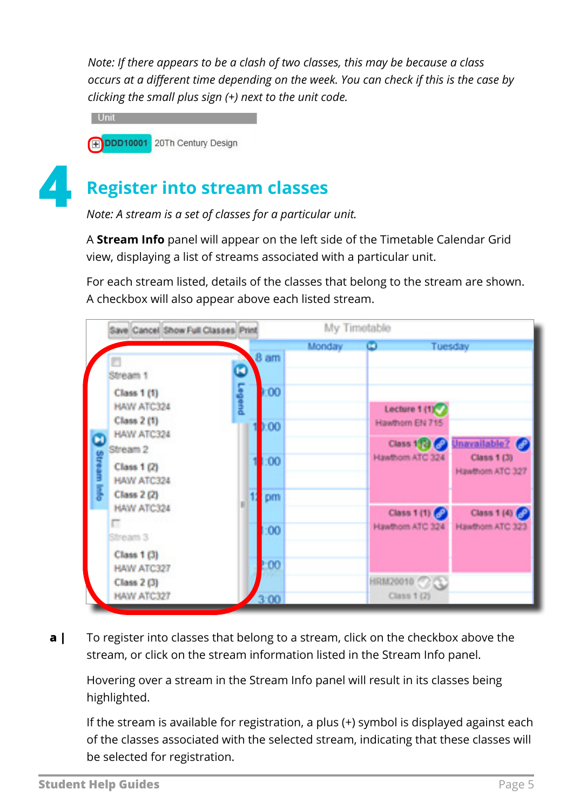*Note: If there appears to be a clash of two classes, this may be because a class occurs at a different time depending on the week. You can check if this is the case by clicking the small plus sign (+) next to the unit code.* 

**Unit PDDD10001** 20Th Century Design



### **4 Register into stream classes**

*Note: A stream is a set of classes for a particular unit.*

A **Stream Info** panel will appear on the left side of the Timetable Calendar Grid view, displaying a list of streams associated with a particular unit.

For each stream listed, details of the classes that belong to the stream are shown. A checkbox will also appear above each listed stream.



To register into classes that belong to a stream, click on the checkbox above the stream, or click on the stream information listed in the Stream Info panel. **a |**

Hovering over a stream in the Stream Info panel will result in its classes being highlighted.

If the stream is available for registration, a plus (+) symbol is displayed against each of the classes associated with the selected stream, indicating that these classes will be selected for registration.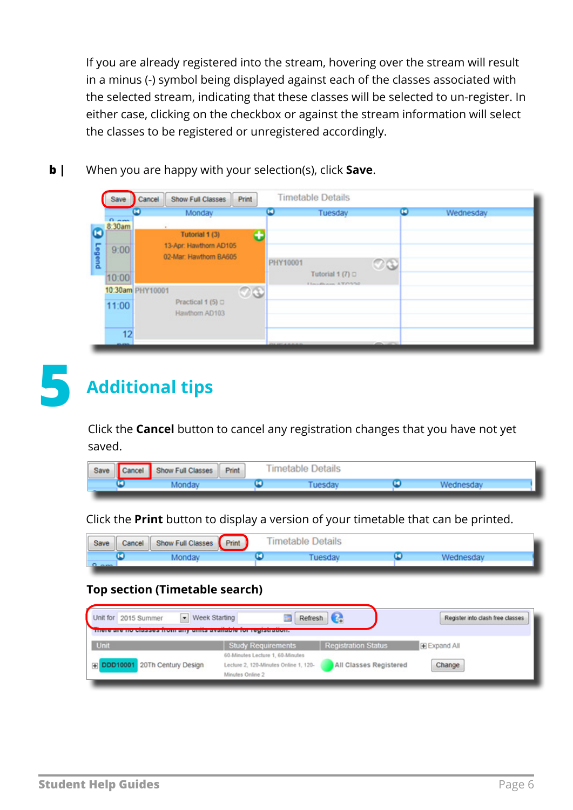If you are already registered into the stream, hovering over the stream will result in a minus (-) symbol being displayed against each of the classes associated with the selected stream, indicating that these classes will be selected to un-register. In either case, clicking on the checkbox or against the stream information will select the classes to be registered or unregistered accordingly.

**b |** When you are happy with your selection(s), click **Save**.

| Save                   | Cancel           | <b>Show Full Classes</b> | Print   |          | <b>Timetable Details</b> |         |   |           |
|------------------------|------------------|--------------------------|---------|----------|--------------------------|---------|---|-----------|
|                        | ω                | Monday                   |         | о        | Tuesday                  |         | о | Wednesday |
| <b>CLAIM</b><br>8:30am |                  |                          |         |          |                          |         |   |           |
|                        |                  | Tutorial 1 (3)           | æ       |          |                          |         |   |           |
| 9:00                   |                  | 13-Apr: Hawthorn AD105   |         |          |                          |         |   |           |
|                        |                  | 02-Mar: Hawthorn BA605   |         | PHY10001 |                          |         |   |           |
|                        |                  |                          |         |          |                          | $\circ$ |   |           |
| 10:00                  |                  |                          |         |          | Tutorial 1 $(7)$ $\Box$  |         |   |           |
|                        | 10:30am PHY10001 |                          | $\circ$ |          | Harristown, AT/WW60      |         |   |           |
| 11:00                  |                  | Practical 1 (5) □        |         |          |                          |         |   |           |
|                        |                  | Hawthorn AD103           |         |          |                          |         |   |           |
|                        |                  |                          |         |          |                          |         |   |           |
| 12                     |                  |                          |         |          |                          |         |   |           |



## **5 Additional tips**

Click the **Cancel** button to cancel any registration changes that you have not yet saved.

| Save Cancel Show Full Classes | Print | <b>Timetable Details</b> |  |  |
|-------------------------------|-------|--------------------------|--|--|
|                               |       |                          |  |  |

Click the **Print** button to display a version of your timetable that can be printed.

| Save | Cancel Show Full Classes Print | <b>Timetable Details</b> |  |  |  |  |
|------|--------------------------------|--------------------------|--|--|--|--|
|      |                                |                          |  |  |  |  |

#### **Top section (Timetable search)**

| Week Starting<br>Unit for 2015 Summer | Refresh                                                                                       | $\bullet$                  | Register into clash free classes |
|---------------------------------------|-----------------------------------------------------------------------------------------------|----------------------------|----------------------------------|
| <b>Unit</b>                           | <b>Study Requirements</b>                                                                     | <b>Registration Status</b> | Expand All                       |
| File DDD10001 20Th Century Design     | 60-Minutes Lecture 1, 60-Minutes<br>Lecture 2, 120-Minutes Online 1, 120-<br>Minutes Online 2 | All Classes Registered     | Change                           |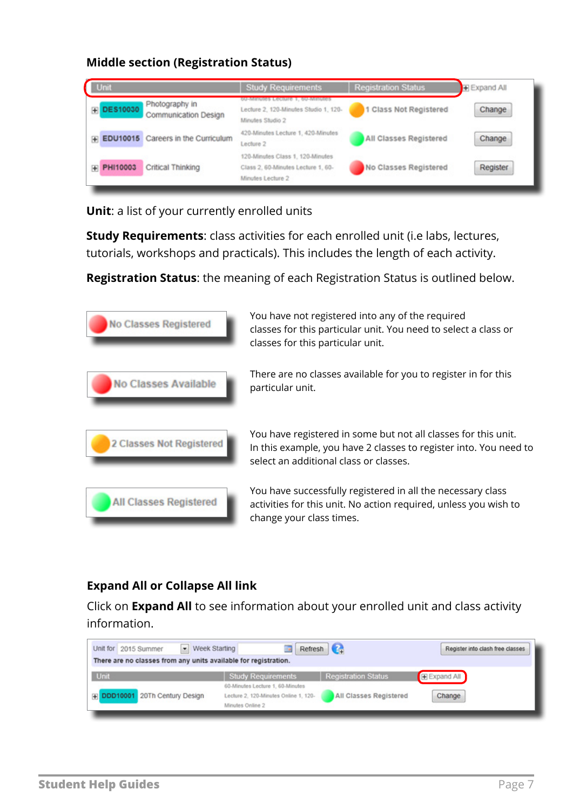#### **Middle section (Registration Status)**

| Unit                                                      | <b>Study Requirements</b>                                                                   | <b>Registration Status</b> | Expand All |
|-----------------------------------------------------------|---------------------------------------------------------------------------------------------|----------------------------|------------|
| Photography in<br><b>DES10030</b><br>Communication Design | bu-Minutes<br>Lecture 2, 120-Minutes Studio 1, 120-<br>Minutes Studio 2                     | Class Not Registered       | Change     |
| F EDU10015 Careers in the Curriculum                      | 420-Minutes Lecture 1, 420-Minutes<br>Lecture <sub>2</sub>                                  | All Classes Registered     | Change     |
| Critical Thinking<br>F PHI10003                           | 120-Minutes Class 1, 120-Minutes<br>Class 2, 60-Minutes Lecture 1, 60-<br>Minutes Lecture 2 | No Classes Registered      | Register   |

**Unit**: a list of your currently enrolled units

**Study Requirements**: class activities for each enrolled unit (i.e labs, lectures, tutorials, workshops and practicals). This includes the length of each activity.

**Registration Status**: the meaning of each Registration Status is outlined below.



#### **Expand All or Collapse All link**

Click on **Expand All** to see information about your enrolled unit and class activity information.

| - Week Starting<br>Unit for 2015 Summer<br>There are no classes from any units available for registration. |                                                                                               | Refresh                    | Register into clash free classes |
|------------------------------------------------------------------------------------------------------------|-----------------------------------------------------------------------------------------------|----------------------------|----------------------------------|
| Unit                                                                                                       | <b>Study Requirements</b>                                                                     | <b>Registration Status</b> | E Expand All                     |
| File DDD10001 20Th Century Design                                                                          | 60-Minutes Lecture 1, 60-Minutes<br>Lecture 2, 120-Minutes Online 1, 120-<br>Minutes Online 2 | All Classes Registered     | Change                           |